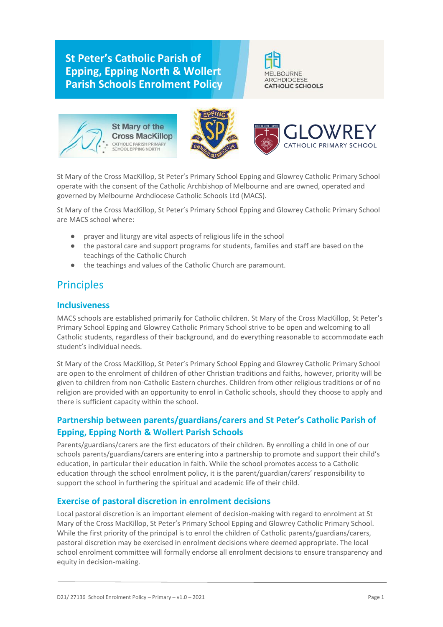# **St Peter's Catholic Parish of Epping, Epping North & Wollert Parish Schools Enrolment Policy**









St Mary of the Cross MacKillop, St Peter's Primary School Epping and Glowrey Catholic Primary School operate with the consent of the Catholic Archbishop of Melbourne and are owned, operated and governed by Melbourne Archdiocese Catholic Schools Ltd (MACS).

St Mary of the Cross MacKillop, St Peter's Primary School Epping and Glowrey Catholic Primary School are MACS school where:

- prayer and liturgy are vital aspects of religious life in the school
- the pastoral care and support programs for students, families and staff are based on the teachings of the Catholic Church
- the teachings and values of the Catholic Church are paramount.

# Principles

### **Inclusiveness**

MACS schools are established primarily for Catholic children. St Mary of the Cross MacKillop, St Peter's Primary School Epping and Glowrey Catholic Primary School strive to be open and welcoming to all Catholic students, regardless of their background, and do everything reasonable to accommodate each student's individual needs.

St Mary of the Cross MacKillop, St Peter's Primary School Epping and Glowrey Catholic Primary School are open to the enrolment of children of other Christian traditions and faiths, however, priority will be given to children from non-Catholic Eastern churches. Children from other religious traditions or of no religion are provided with an opportunity to enrol in Catholic schools, should they choose to apply and there is sufficient capacity within the school.

## **Partnership between parents/guardians/carers and St Peter's Catholic Parish of Epping, Epping North & Wollert Parish Schools**

Parents/guardians/carers are the first educators of their children. By enrolling a child in one of our schools parents/guardians/carers are entering into a partnership to promote and support their child's education, in particular their education in faith. While the school promotes access to a Catholic education through the school enrolment policy, it is the parent/guardian/carers' responsibility to support the school in furthering the spiritual and academic life of their child.

### **Exercise of pastoral discretion in enrolment decisions**

Local pastoral discretion is an important element of decision-making with regard to enrolment at St Mary of the Cross MacKillop, St Peter's Primary School Epping and Glowrey Catholic Primary School. While the first priority of the principal is to enrol the children of Catholic parents/guardians/carers, pastoral discretion may be exercised in enrolment decisions where deemed appropriate. The local school enrolment committee will formally endorse all enrolment decisions to ensure transparency and equity in decision-making.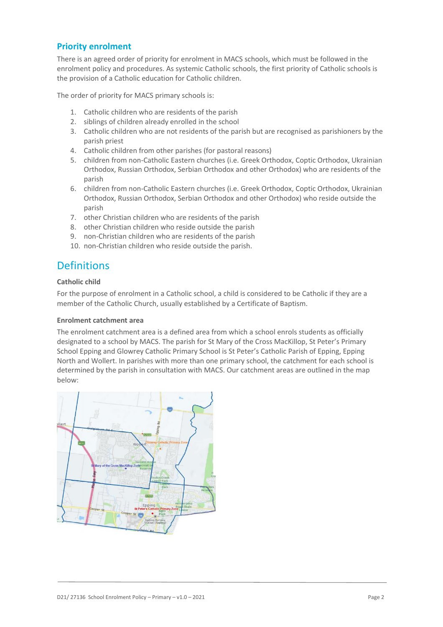### **Priority enrolment**

There is an agreed order of priority for enrolment in MACS schools, which must be followed in the enrolment policy and procedures. As systemic Catholic schools, the first priority of Catholic schools is the provision of a Catholic education for Catholic children.

The order of priority for MACS primary schools is:

- 1. Catholic children who are residents of the parish
- 2. siblings of children already enrolled in the school
- 3. Catholic children who are not residents of the parish but are recognised as parishioners by the parish priest
- 4. Catholic children from other parishes (for pastoral reasons)
- 5. children from non-Catholic Eastern churches (i.e. Greek Orthodox, Coptic Orthodox, Ukrainian Orthodox, Russian Orthodox, Serbian Orthodox and other Orthodox) who are residents of the parish
- 6. children from non-Catholic Eastern churches (i.e. Greek Orthodox, Coptic Orthodox, Ukrainian Orthodox, Russian Orthodox, Serbian Orthodox and other Orthodox) who reside outside the parish
- 7. other Christian children who are residents of the parish
- 8. other Christian children who reside outside the parish
- 9. non-Christian children who are residents of the parish
- 10. non-Christian children who reside outside the parish.

## **Definitions**

#### **Catholic child**

For the purpose of enrolment in a Catholic school, a child is considered to be Catholic if they are a member of the Catholic Church, usually established by a Certificate of Baptism.

#### **Enrolment catchment area**

The enrolment catchment area is a defined area from which a school enrols students as officially designated to a school by MACS. The parish for St Mary of the Cross MacKillop, St Peter's Primary School Epping and Glowrey Catholic Primary School is St Peter's Catholic Parish of Epping, Epping North and Wollert. In parishes with more than one primary school, the catchment for each school is determined by the parish in consultation with MACS. Our catchment areas are outlined in the map below:

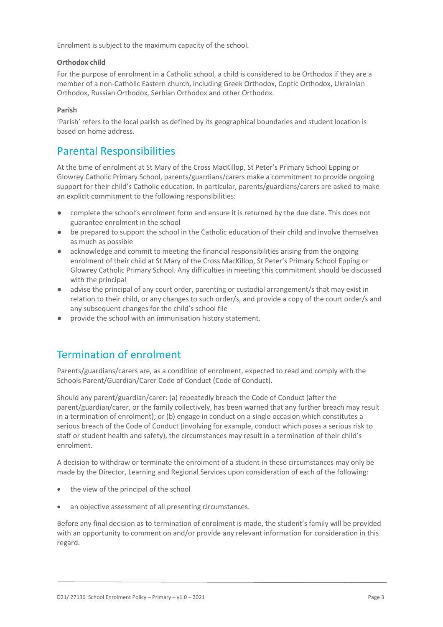Enrolment is subject to the maximum capacity of the school.

#### **Orthodox child**

For the purpose of enrolment in a Catholic school, a child is considered to be Orthodox if they are a member of a non-Catholic Eastern church, including Greek Orthodox, Coptic Orthodox, Ukrainian Orthodox, Russian Orthodox, Serbian Orthodox and other Orthodox.

#### **Parish**

'Parish' refers to the local parish as defined by its geographical boundaries and student location is based on home address.

## Parental Responsibilities

At the time of enrolment at St Mary of the Cross MacKillop, St Peter's Primary School Epping or Glowrey Catholic Primary School, parents/guardians/carers make a commitment to provide ongoing support for their child's Catholic education. In particular, parents/guardians/carers are asked to make an explicit commitment to the following responsibilities:

- complete the school's enrolment form and ensure it is returned by the due date. This does not guarantee enrolment in the school
- be prepared to support the school in the Catholic education of their child and involve themselves as much as possible
- acknowledge and commit to meeting the financial responsibilities arising from the ongoing enrolment of their child at St Mary of the Cross MacKillop, St Peter's Primary School Epping or Glowrey Catholic Primary School. Any difficulties in meeting this commitment should be discussed with the principal
- advise the principal of any court order, parenting or custodial arrangement/s that may exist in relation to their child, or any changes to such order/s, and provide a copy of the court order/s and any subsequent changes for the child's school file
- provide the school with an immunisation history statement.

## Termination of enrolment

Parents/guardians/carers are, as a condition of enrolment, expected to read and comply with the Schools Parent/Guardian/Carer Code of Conduct (Code of Conduct).

Should any parent/guardian/carer: (a) repeatedly breach the Code of Conduct (after the parent/guardian/carer, or the family collectively, has been warned that any further breach may result in a termination of enrolment); or (b) engage in conduct on a single occasion which constitutes a serious breach of the Code of Conduct (involving for example, conduct which poses a serious risk to staff or student health and safety), the circumstances may result in a termination of their child's enrolment.

A decision to withdraw or terminate the enrolment of a student in these circumstances may only be made by the Director, Learning and Regional Services upon consideration of each of the following:

- the view of the principal of the school
- an objective assessment of all presenting circumstances.

Before any final decision as to termination of enrolment is made, the student's family will be provided with an opportunity to comment on and/or provide any relevant information for consideration in this regard.